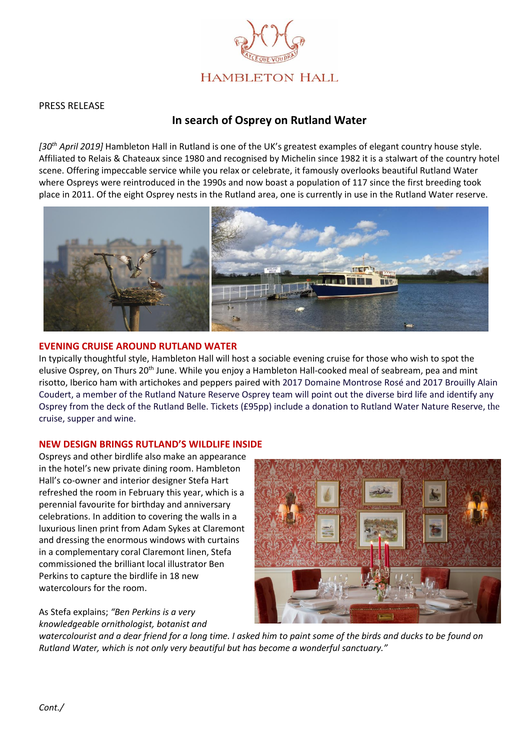

### PRESS RELEASE

# **In search of Osprey on Rutland Water**

*[30th April 2019]* Hambleton Hall in Rutland is one of the UK's greatest examples of elegant country house style. Affiliated to Relais & Chateaux since 1980 and recognised by Michelin since 1982 it is a stalwart of the country hotel scene. Offering impeccable service while you relax or celebrate, it famously overlooks beautiful Rutland Water where Ospreys were reintroduced in the 1990s and now boast a population of 117 since the first breeding took place in 2011. Of the eight Osprey nests in the Rutland area, one is currently in use in the Rutland Water reserve.



#### **EVENING CRUISE AROUND RUTLAND WATER**

In typically thoughtful style, Hambleton Hall will host a sociable evening cruise for those who wish to spot the elusive Osprey, on Thurs 20<sup>th</sup> June. While you enjoy a Hambleton Hall-cooked meal of seabream, pea and mint risotto, Iberico ham with artichokes and peppers paired with 2017 Domaine Montrose Rosé and 2017 Brouilly Alain Coudert, a member of the Rutland Nature Reserve Osprey team will point out the diverse bird life and identify any Osprey from the deck of the Rutland Belle. Tickets (£95pp) include a donation to Rutland Water Nature Reserve, the cruise, supper and wine.

## **NEW DESIGN BRINGS RUTLAND'S WILDLIFE INSIDE**

Ospreys and other birdlife also make an appearance in the hotel's new private dining room. Hambleton Hall's co-owner and interior designer Stefa Hart refreshed the room in February this year, which is a perennial favourite for birthday and anniversary celebrations. In addition to covering the walls in a luxurious linen print from Adam Sykes at Claremont and dressing the enormous windows with curtains in a complementary coral Claremont linen, Stefa commissioned the brilliant local illustrator Ben Perkins to capture the birdlife in 18 new watercolours for the room.

As Stefa explains; *"Ben Perkins is a very knowledgeable ornithologist, botanist and* 



*watercolourist and a dear friend for a long time. I asked him to paint some of the birds and ducks to be found on Rutland Water, which is not only very beautiful but has become a wonderful sanctuary."*